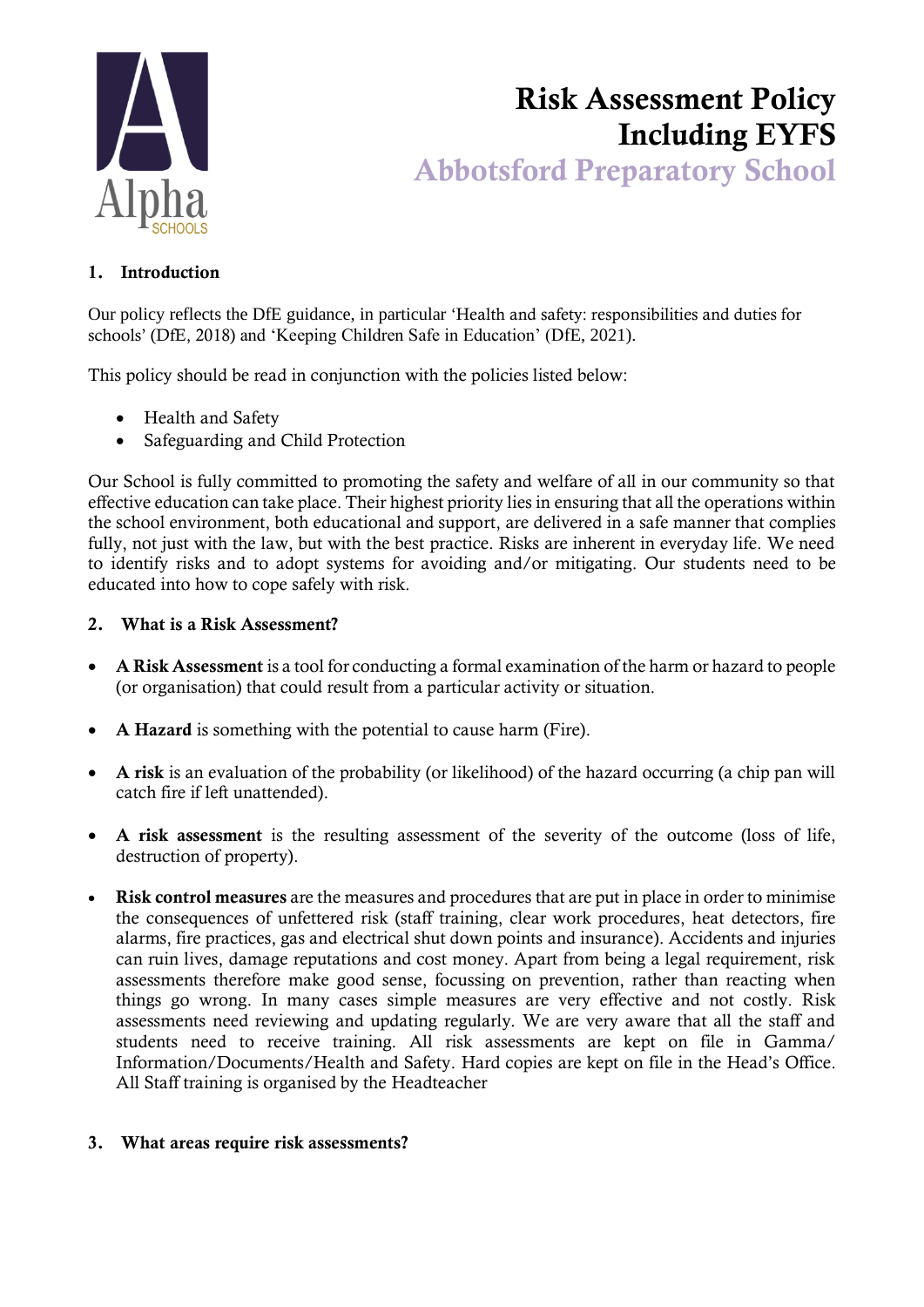

# Risk Assessment Policy Including EYFS Abbotsford Preparatory School

# 1. Introduction

Our policy reflects the DfE guidance, in particular 'Health and safety: responsibilities and duties for schools' (DfE, 2018) and 'Keeping Children Safe in Education' (DfE, 2021).

This policy should be read in conjunction with the policies listed below:

- Health and Safety
- Safeguarding and Child Protection

Our School is fully committed to promoting the safety and welfare of all in our community so that effective education can take place. Their highest priority lies in ensuring that all the operations within the school environment, both educational and support, are delivered in a safe manner that complies fully, not just with the law, but with the best practice. Risks are inherent in everyday life. We need to identify risks and to adopt systems for avoiding and/or mitigating. Our students need to be educated into how to cope safely with risk.

### 2. What is a Risk Assessment?

- A Risk Assessment is a tool for conducting a formal examination of the harm or hazard to people (or organisation) that could result from a particular activity or situation.
- A Hazard is something with the potential to cause harm (Fire).
- A risk is an evaluation of the probability (or likelihood) of the hazard occurring (a chip pan will catch fire if left unattended).
- A risk assessment is the resulting assessment of the severity of the outcome (loss of life, destruction of property).
- Risk control measures are the measures and procedures that are put in place in order to minimise the consequences of unfettered risk (staff training, clear work procedures, heat detectors, fire alarms, fire practices, gas and electrical shut down points and insurance). Accidents and injuries can ruin lives, damage reputations and cost money. Apart from being a legal requirement, risk assessments therefore make good sense, focussing on prevention, rather than reacting when things go wrong. In many cases simple measures are very effective and not costly. Risk assessments need reviewing and updating regularly. We are very aware that all the staff and students need to receive training. All risk assessments are kept on file in Gamma/ Information/Documents/Health and Safety. Hard copies are kept on file in the Head's Office. All Staff training is organised by the Headteacher

# 3. What areas require risk assessments?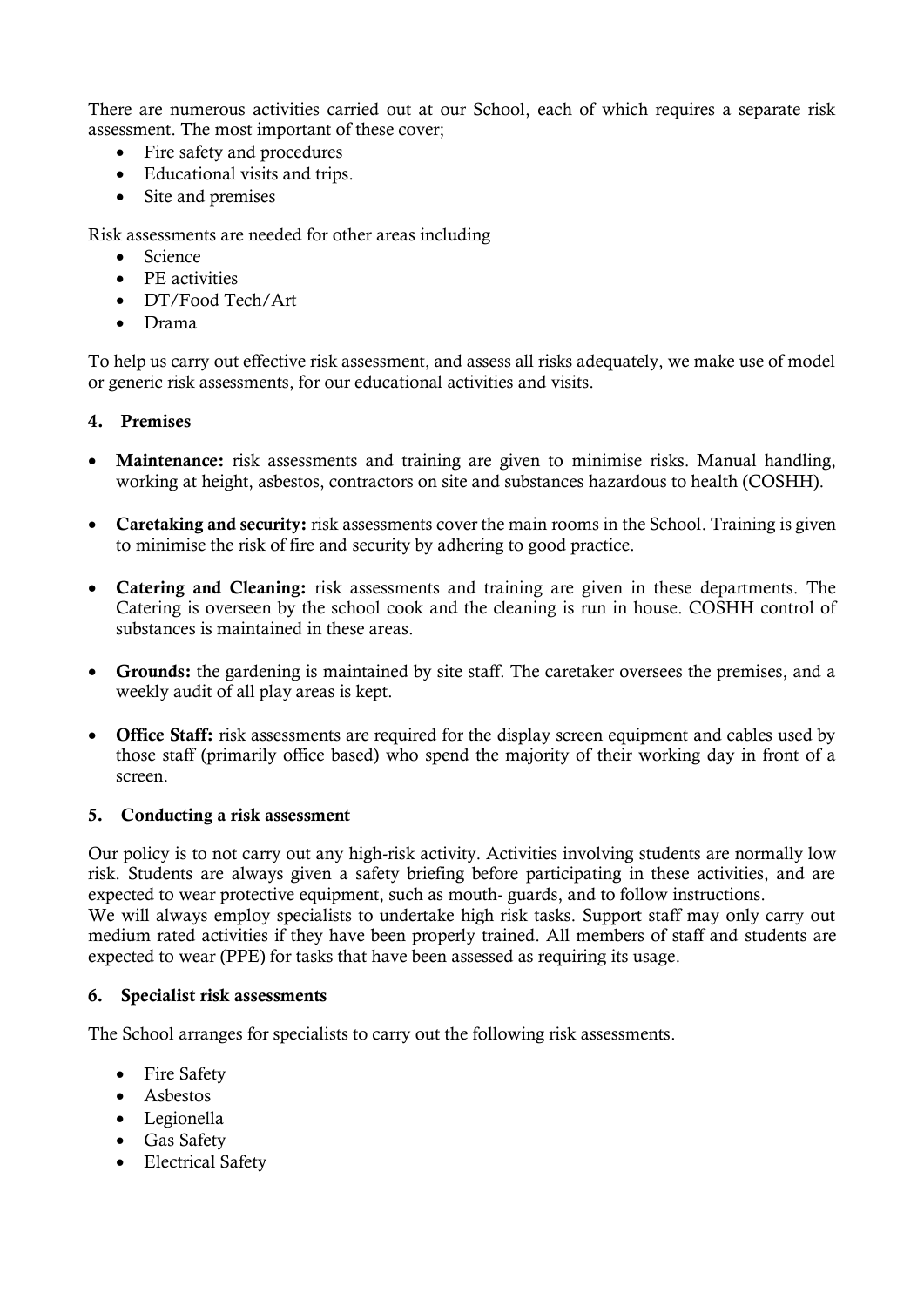There are numerous activities carried out at our School, each of which requires a separate risk assessment. The most important of these cover;

- Fire safety and procedures
- Educational visits and trips.
- Site and premises

Risk assessments are needed for other areas including

- Science
- PE activities
- DT/Food Tech/Art
- Drama

To help us carry out effective risk assessment, and assess all risks adequately, we make use of model or generic risk assessments, for our educational activities and visits.

#### 4. Premises

- Maintenance: risk assessments and training are given to minimise risks. Manual handling, working at height, asbestos, contractors on site and substances hazardous to health (COSHH).
- Caretaking and security: risk assessments cover the main rooms in the School. Training is given to minimise the risk of fire and security by adhering to good practice.
- Catering and Cleaning: risk assessments and training are given in these departments. The Catering is overseen by the school cook and the cleaning is run in house. COSHH control of substances is maintained in these areas.
- Grounds: the gardening is maintained by site staff. The caretaker oversees the premises, and a weekly audit of all play areas is kept.
- Office Staff: risk assessments are required for the display screen equipment and cables used by those staff (primarily office based) who spend the majority of their working day in front of a screen.

#### 5. Conducting a risk assessment

Our policy is to not carry out any high-risk activity. Activities involving students are normally low risk. Students are always given a safety briefing before participating in these activities, and are expected to wear protective equipment, such as mouth- guards, and to follow instructions.

We will always employ specialists to undertake high risk tasks. Support staff may only carry out medium rated activities if they have been properly trained. All members of staff and students are expected to wear (PPE) for tasks that have been assessed as requiring its usage.

#### 6. Specialist risk assessments

The School arranges for specialists to carry out the following risk assessments.

- Fire Safety
- Asbestos
- Legionella
- Gas Safety
- Electrical Safety